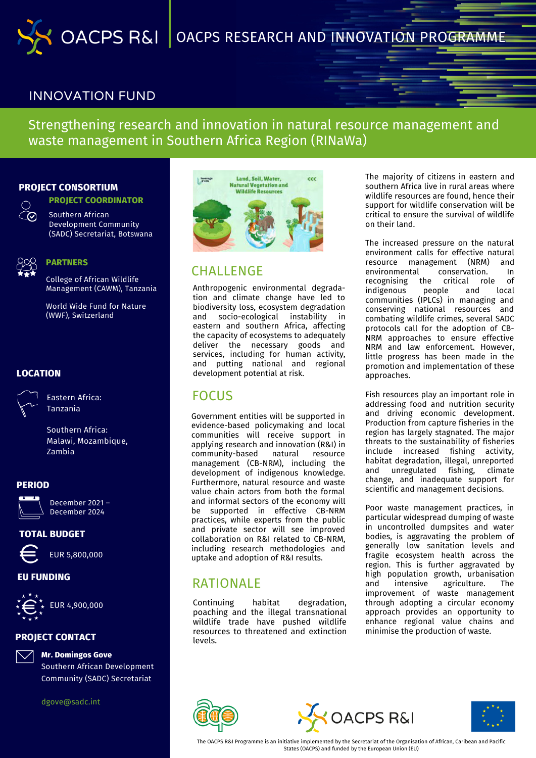

# INNOVATION FUND

Strengthening research and innovation in natural resource management and waste management in Southern Africa Region (RINaWa)

### **PROJECT CONSORTIUM**

**PROJECT COORDINATOR**



Southern African Development Community (SADC) Secretariat, Botswana



#### **PARTNERS**

College of African Wildlife Management (CAWM), Tanzania

World Wide Fund for Nature (WWF), Switzerland

### **LOCATION**



Eastern Africa: Tanzania

Southern Africa: Malawi, Mozambique, Zambia

#### **PERIOD**



December 2021 – December 2024

### **TOTAL BUDGET**



EUR 5,800,000

# **EU FUNDING**

EUR 4,900,000

# **PROJECT CONTACT**



**Mr. Domingos Gove** Southern African Development Community (SADC) Secretariat

dgove@sadc.int



# CHALLENGE

Anthropogenic environmental degradation and climate change have led to biodiversity loss, ecosystem degradation and socio-ecological instability in eastern and southern Africa, affecting the capacity of ecosystems to adequately deliver the necessary goods and services, including for human activity, and putting national and regional development potential at risk.

# FOCUS

Government entities will be supported in evidence-based policymaking and local communities will receive support in applying research and innovation (R&I) in community-based natural resource management (CB-NRM), including the development of indigenous knowledge. Furthermore, natural resource and waste value chain actors from both the formal and informal sectors of the economy will be supported in effective CB-NRM practices, while experts from the public and private sector will see improved collaboration on R&I related to CB-NRM, including research methodologies and uptake and adoption of R&I results.

# RATIONAL F

Continuing habitat degradation, poaching and the illegal transnational wildlife trade have pushed wildlife resources to threatened and extinction levels.

The majority of citizens in eastern and southern Africa live in rural areas where wildlife resources are found, hence their support for wildlife conservation will be critical to ensure the survival of wildlife on their land.

The increased pressure on the natural environment calls for effective natural resource management (NRM) and environmental conservation. In recognising the critical role of indigenous people and local communities (IPLCs) in managing and conserving national resources and combating wildlife crimes, several SADC protocols call for the adoption of CB-NRM approaches to ensure effective NRM and law enforcement. However, little progress has been made in the promotion and implementation of these approaches.

Fish resources play an important role in addressing food and nutrition security and driving economic development. Production from capture fisheries in the region has largely stagnated. The major threats to the sustainability of fisheries include increased fishing activity, habitat degradation, illegal, unreported and unregulated fishing, climate change, and inadequate support for scientific and management decisions.

Poor waste management practices, in particular widespread dumping of waste in uncontrolled dumpsites and water bodies, is aggravating the problem of generally low sanitation levels and fragile ecosystem health across the region. This is further aggravated by high population growth, urbanisation and intensive agriculture. The improvement of waste management through adopting a circular economy approach provides an opportunity to enhance regional value chains and minimise the production of waste.







The OACPS R&I Programme is an initiative implemented by the Secretariat of the Organisation of African, Caribean and Pacific States (OACPS) and funded by the European Union (EU)